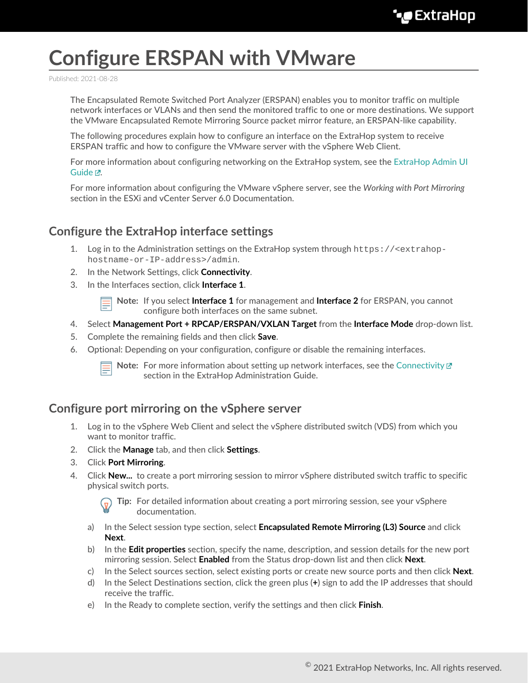## **Configure ERSPAN with VMware**

Published: 2021-08-28

The Encapsulated Remote Switched Port Analyzer (ERSPAN) enables you to monitor traffic on multiple network interfaces or VLANs and then send the monitored traffic to one or more destinations. We support the VMware Encapsulated Remote Mirroring Source packet mirror feature, an ERSPAN-like capability.

The following procedures explain how to configure an interface on the ExtraHop system to receive ERSPAN traffic and how to configure the VMware server with the vSphere Web Client.

For more information about configuring networking on the ExtraHop system, see the [ExtraHop Admin UI](https://docs.extrahop.com/8.4/eh-admin-ui-guide/) [Guide](https://docs.extrahop.com/8.4/eh-admin-ui-guide/) <sub>.</sub>.

For more information about configuring the VMware vSphere server, see the *Working with Port Mirroring* section in the ESXi and vCenter Server 6.0 Documentation.

## **Configure the ExtraHop interface settings**

- 1. Log in to the Administration settings on the ExtraHop system through https://<extrahophostname-or-IP-address>/admin.
- 2. In the Network Settings, click **Connectivity**.
- 3. In the Interfaces section, click **Interface 1**.

**Note:** If you select **Interface 1** for management and **Interface 2** for ERSPAN, you cannot configure both interfaces on the same subnet.

- 4. Select **Management Port + RPCAP/ERSPAN/VXLAN Target** from the **Interface Mode** drop-down list.
- 5. Complete the remaining fields and then click **Save**.
- 6. Optional: Depending on your configuration, configure or disable the remaining interfaces.



**Note:** For more information about setting up network interfaces, see the [Connectivity](https://docs.extrahop.com/8.4/eta-admin-ui-guide/#connectivity)  $\mathbb{F}$ section in the ExtraHop Administration Guide.

## **Configure port mirroring on the vSphere server**

- 1. Log in to the vSphere Web Client and select the vSphere distributed switch (VDS) from which you want to monitor traffic.
- 2. Click the **Manage** tab, and then click **Settings**.
- 3. Click **Port Mirroring**.
- 4. Click **New...** to create a port mirroring session to mirror vSphere distributed switch traffic to specific physical switch ports.

**Tip:** For detailed information about creating a port mirroring session, see your vSphere documentation.

- a) In the Select session type section, select **Encapsulated Remote Mirroring (L3) Source** and click **Next**.
- b) In the **Edit properties** section, specify the name, description, and session details for the new port mirroring session. Select **Enabled** from the Status drop-down list and then click **Next**.
- c) In the Select sources section, select existing ports or create new source ports and then click **Next**.
- d) In the Select Destinations section, click the green plus (**+**) sign to add the IP addresses that should receive the traffic.
- e) In the Ready to complete section, verify the settings and then click **Finish**.